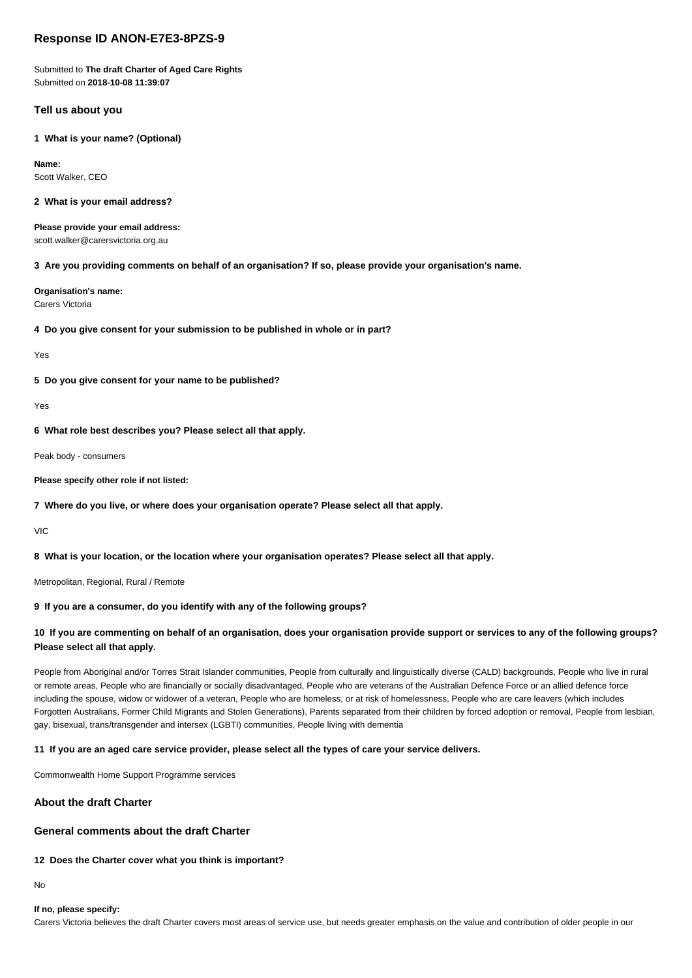# **Response ID ANON-E7E3-8PZS-9**

Submitted to **The draft Charter of Aged Care Rights** Submitted on **2018-10-08 11:39:07**

## **Tell us about you**

**1 What is your name? (Optional)**

**Name:** Scott Walker, CEO

### **2 What is your email address?**

**Please provide your email address:** scott.walker@carersvictoria.org.au

**3 Are you providing comments on behalf of an organisation? If so, please provide your organisation's name.**

**Organisation's name:** Carers Victoria

**4 Do you give consent for your submission to be published in whole or in part?**

Yes

**5 Do you give consent for your name to be published?**

Yes

**6 What role best describes you? Please select all that apply.**

Peak body - consumers

**Please specify other role if not listed:**

**7 Where do you live, or where does your organisation operate? Please select all that apply.**

VIC

**8 What is your location, or the location where your organisation operates? Please select all that apply.**

Metropolitan, Regional, Rural / Remote

## **9 If you are a consumer, do you identify with any of the following groups?**

## **10 If you are commenting on behalf of an organisation, does your organisation provide support or services to any of the following groups? Please select all that apply.**

People from Aboriginal and/or Torres Strait Islander communities, People from culturally and linguistically diverse (CALD) backgrounds, People who live in rural or remote areas, People who are financially or socially disadvantaged, People who are veterans of the Australian Defence Force or an allied defence force including the spouse, widow or widower of a veteran, People who are homeless, or at risk of homelessness, People who are care leavers (which includes Forgotten Australians, Former Child Migrants and Stolen Generations), Parents separated from their children by forced adoption or removal, People from lesbian, gay, bisexual, trans/transgender and intersex (LGBTI) communities, People living with dementia

#### **11 If you are an aged care service provider, please select all the types of care your service delivers.**

Commonwealth Home Support Programme services

### **About the draft Charter**

## **General comments about the draft Charter**

### **12 Does the Charter cover what you think is important?**

No

## **If no, please specify:**

Carers Victoria believes the draft Charter covers most areas of service use, but needs greater emphasis on the value and contribution of older people in our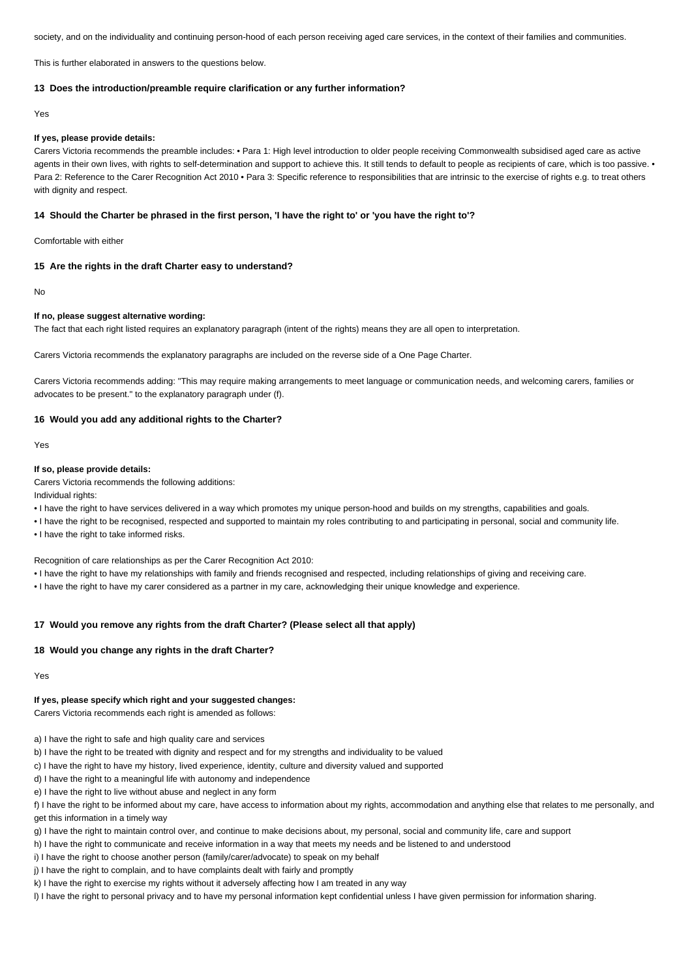society, and on the individuality and continuing person-hood of each person receiving aged care services, in the context of their families and communities.

This is further elaborated in answers to the questions below.

#### **13 Does the introduction/preamble require clarification or any further information?**

Yes

#### **If yes, please provide details:**

Carers Victoria recommends the preamble includes: • Para 1: High level introduction to older people receiving Commonwealth subsidised aged care as active agents in their own lives, with rights to self-determination and support to achieve this. It still tends to default to people as recipients of care, which is too passive. . Para 2: Reference to the Carer Recognition Act 2010 • Para 3: Specific reference to responsibilities that are intrinsic to the exercise of rights e.g. to treat others with dignity and respect.

#### **14 Should the Charter be phrased in the first person, 'I have the right to' or 'you have the right to'?**

Comfortable with either

#### **15 Are the rights in the draft Charter easy to understand?**

No

### **If no, please suggest alternative wording:**

The fact that each right listed requires an explanatory paragraph (intent of the rights) means they are all open to interpretation.

Carers Victoria recommends the explanatory paragraphs are included on the reverse side of a One Page Charter.

Carers Victoria recommends adding: "This may require making arrangements to meet language or communication needs, and welcoming carers, families or advocates to be present." to the explanatory paragraph under (f).

#### **16 Would you add any additional rights to the Charter?**

Yes

### **If so, please provide details:**

Carers Victoria recommends the following additions:

Individual rights:

- I have the right to have services delivered in a way which promotes my unique person-hood and builds on my strengths, capabilities and goals.
- I have the right to be recognised, respected and supported to maintain my roles contributing to and participating in personal, social and community life. • I have the right to take informed risks.
- 

Recognition of care relationships as per the Carer Recognition Act 2010:

- I have the right to have my relationships with family and friends recognised and respected, including relationships of giving and receiving care.
- I have the right to have my carer considered as a partner in my care, acknowledging their unique knowledge and experience.

### **17 Would you remove any rights from the draft Charter? (Please select all that apply)**

#### **18 Would you change any rights in the draft Charter?**

Yes

#### **If yes, please specify which right and your suggested changes:**

Carers Victoria recommends each right is amended as follows:

- a) I have the right to safe and high quality care and services
- b) I have the right to be treated with dignity and respect and for my strengths and individuality to be valued
- c) I have the right to have my history, lived experience, identity, culture and diversity valued and supported
- d) I have the right to a meaningful life with autonomy and independence
- e) I have the right to live without abuse and neglect in any form
- f) I have the right to be informed about my care, have access to information about my rights, accommodation and anything else that relates to me personally, and get this information in a timely way
- g) I have the right to maintain control over, and continue to make decisions about, my personal, social and community life, care and support
- h) I have the right to communicate and receive information in a way that meets my needs and be listened to and understood
- i) I have the right to choose another person (family/carer/advocate) to speak on my behalf
- j) I have the right to complain, and to have complaints dealt with fairly and promptly
- k) I have the right to exercise my rights without it adversely affecting how I am treated in any way
- l) I have the right to personal privacy and to have my personal information kept confidential unless I have given permission for information sharing.